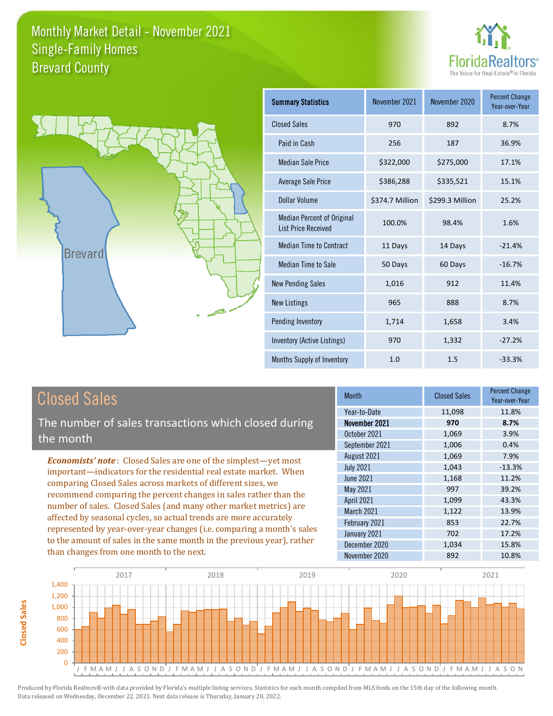



| <b>Summary Statistics</b>                                       | November 2021   | November 2020   | <b>Percent Change</b><br>Year-over-Year |
|-----------------------------------------------------------------|-----------------|-----------------|-----------------------------------------|
| <b>Closed Sales</b>                                             | 970             | 892             | 8.7%                                    |
| Paid in Cash                                                    | 256             | 187             | 36.9%                                   |
| <b>Median Sale Price</b>                                        | \$322,000       | \$275,000       | 17.1%                                   |
| <b>Average Sale Price</b>                                       | \$386,288       | \$335,521       | 15.1%                                   |
| Dollar Volume                                                   | \$374.7 Million | \$299.3 Million | 25.2%                                   |
| <b>Median Percent of Original</b><br><b>List Price Received</b> | 100.0%          | 98.4%           | 1.6%                                    |
| <b>Median Time to Contract</b>                                  | 11 Days         | 14 Days         | $-21.4%$                                |
| <b>Median Time to Sale</b>                                      | 50 Days         | 60 Days         | $-16.7%$                                |
| <b>New Pending Sales</b>                                        | 1,016           | 912             | 11.4%                                   |
| <b>New Listings</b>                                             | 965             | 888             | 8.7%                                    |
| Pending Inventory                                               | 1,714           | 1,658           | 3.4%                                    |
| Inventory (Active Listings)                                     | 970             | 1,332           | $-27.2%$                                |
| Months Supply of Inventory                                      | 1.0             | 1.5             | $-33.3%$                                |

### Closed Sales

**Closed Sales**

**Closed Sales** 

The number of sales transactions which closed during the month

*Economists' note* : Closed Sales are one of the simplest—yet most important—indicators for the residential real estate market. When comparing Closed Sales across markets of different sizes, we recommend comparing the percent changes in sales rather than the number of sales. Closed Sales (and many other market metrics) are affected by seasonal cycles, so actual trends are more accurately represented by year-over-year changes (i.e. comparing a month's sales to the amount of sales in the same month in the previous year), rather than changes from one month to the next.

| Month            | <b>Closed Sales</b> | <b>Percent Change</b><br>Year-over-Year |
|------------------|---------------------|-----------------------------------------|
| Year-to-Date     | 11,098              | 11.8%                                   |
| November 2021    | 970                 | 8.7%                                    |
| October 2021     | 1,069               | 3.9%                                    |
| September 2021   | 1,006               | 0.4%                                    |
| August 2021      | 1,069               | 7.9%                                    |
| <b>July 2021</b> | 1,043               | $-13.3%$                                |
| <b>June 2021</b> | 1,168               | 11.2%                                   |
| May 2021         | 997                 | 39.2%                                   |
| April 2021       | 1,099               | 43.3%                                   |
| March 2021       | 1,122               | 13.9%                                   |
| February 2021    | 853                 | 22.7%                                   |
| January 2021     | 702                 | 17.2%                                   |
| December 2020    | 1,034               | 15.8%                                   |
| November 2020    | 892                 | 10.8%                                   |

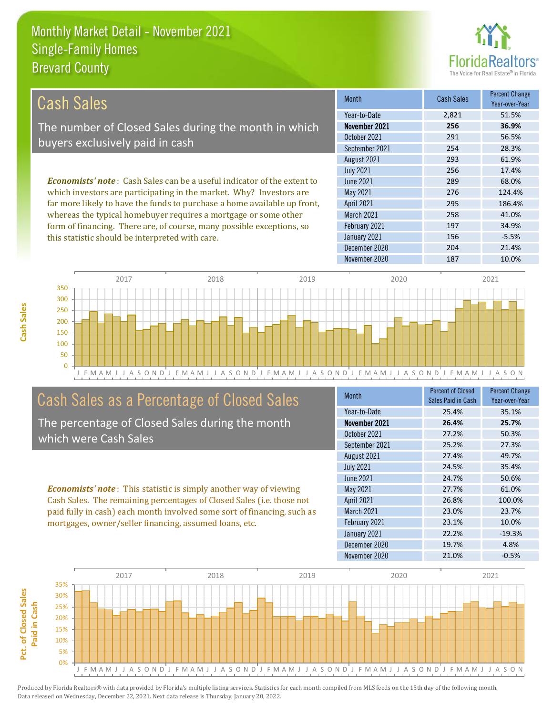this statistic should be interpreted with care.



156 -5.5%

| Cash Sales                                                                     | <b>Month</b>      | <b>Cash Sales</b> | <b>Percent Change</b><br>Year-over-Year |
|--------------------------------------------------------------------------------|-------------------|-------------------|-----------------------------------------|
|                                                                                | Year-to-Date      | 2.821             | 51.5%                                   |
| The number of Closed Sales during the month in which                           | November 2021     | 256               | 36.9%                                   |
| buyers exclusively paid in cash                                                | October 2021      | 291               | 56.5%                                   |
|                                                                                | September 2021    | 254               | 28.3%                                   |
|                                                                                | August 2021       | 293               | 61.9%                                   |
|                                                                                | <b>July 2021</b>  | 256               | 17.4%                                   |
| <b>Economists' note:</b> Cash Sales can be a useful indicator of the extent to | June 2021         | 289               | 68.0%                                   |
| which investors are participating in the market. Why? Investors are            | May 2021          | 276               | 124.4%                                  |
| far more likely to have the funds to purchase a home available up front,       | <b>April 2021</b> | 295               | 186.4%                                  |
| whereas the typical homebuyer requires a mortgage or some other                | <b>March 2021</b> | 258               | 41.0%                                   |
| form of financing. There are, of course, many possible exceptions, so          | February 2021     | 197               | 34.9%                                   |



### Cash Sales as a Percentage of Closed Sales

The percentage of Closed Sales during the month which were Cash Sales

*Economists' note* : This statistic is simply another way of viewing Cash Sales. The remaining percentages of Closed Sales (i.e. those not paid fully in cash) each month involved some sort of financing, such as mortgages, owner/seller financing, assumed loans, etc.

| Month             | <b>Percent of Closed</b><br>Sales Paid in Cash | <b>Percent Change</b><br>Year-over-Year |
|-------------------|------------------------------------------------|-----------------------------------------|
| Year-to-Date      | 25.4%                                          | 35.1%                                   |
| November 2021     | 26.4%                                          | 25.7%                                   |
| October 2021      | 27.2%                                          | 50.3%                                   |
| September 2021    | 25.2%                                          | 27.3%                                   |
| August 2021       | 27.4%                                          | 49.7%                                   |
| <b>July 2021</b>  | 24.5%                                          | 35.4%                                   |
| <b>June 2021</b>  | 24.7%                                          | 50.6%                                   |
| May 2021          | 27.7%                                          | 61.0%                                   |
| <b>April 2021</b> | 26.8%                                          | 100.0%                                  |
| <b>March 2021</b> | 23.0%                                          | 23.7%                                   |
| February 2021     | 23.1%                                          | 10.0%                                   |
| January 2021      | 22.2%                                          | $-19.3%$                                |
| December 2020     | 19.7%                                          | 4.8%                                    |
| November 2020     | 21.0%                                          | $-0.5%$                                 |

December 2020 204 21.4%

January 2021

November 2020 187 10.0%



**Cash Sales**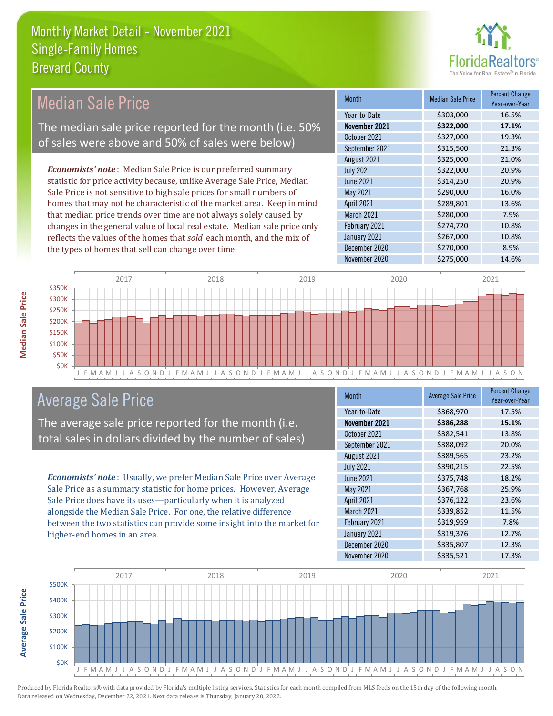

### Median Sale Price

The median sale price reported for the month (i.e. 50% of sales were above and 50% of sales were below)

*Economists' note* : Median Sale Price is our preferred summary statistic for price activity because, unlike Average Sale Price, Median Sale Price is not sensitive to high sale prices for small numbers of homes that may not be characteristic of the market area. Keep in mind that median price trends over time are not always solely caused by changes in the general value of local real estate. Median sale price only reflects the values of the homes that *sold* each month, and the mix of the types of homes that sell can change over time.

| Month            | <b>Median Sale Price</b> | <b>Percent Change</b><br>Year-over-Year |
|------------------|--------------------------|-----------------------------------------|
| Year-to-Date     | \$303,000                | 16.5%                                   |
| November 2021    | \$322,000                | 17.1%                                   |
| October 2021     | \$327,000                | 19.3%                                   |
| September 2021   | \$315,500                | 21.3%                                   |
| August 2021      | \$325,000                | 21.0%                                   |
| <b>July 2021</b> | \$322,000                | 20.9%                                   |
| <b>June 2021</b> | \$314,250                | 20.9%                                   |
| May 2021         | \$290,000                | 16.0%                                   |
| April 2021       | \$289,801                | 13.6%                                   |
| March 2021       | \$280,000                | 7.9%                                    |
| February 2021    | \$274,720                | 10.8%                                   |
| January 2021     | \$267,000                | 10.8%                                   |
| December 2020    | \$270,000                | 8.9%                                    |
| November 2020    | \$275,000                | 14.6%                                   |



### Average Sale Price

The average sale price reported for the month (i.e. total sales in dollars divided by the number of sales)

*Economists' note* : Usually, we prefer Median Sale Price over Average Sale Price as a summary statistic for home prices. However, Average Sale Price does have its uses—particularly when it is analyzed alongside the Median Sale Price. For one, the relative difference between the two statistics can provide some insight into the market for higher-end homes in an area.

| Month            | <b>Average Sale Price</b> | <b>Percent Change</b><br>Year-over-Year |
|------------------|---------------------------|-----------------------------------------|
| Year-to-Date     | \$368,970                 | 17.5%                                   |
| November 2021    | \$386,288                 | 15.1%                                   |
| October 2021     | \$382,541                 | 13.8%                                   |
| September 2021   | \$388,092                 | 20.0%                                   |
| August 2021      | \$389,565                 | 23.2%                                   |
| <b>July 2021</b> | \$390,215                 | 22.5%                                   |
| June 2021        | \$375,748                 | 18.2%                                   |
| May 2021         | \$367,768                 | 25.9%                                   |
| April 2021       | \$376,122                 | 23.6%                                   |
| March 2021       | \$339,852                 | 11.5%                                   |
| February 2021    | \$319,959                 | 7.8%                                    |
| January 2021     | \$319,376                 | 12.7%                                   |
| December 2020    | \$335,807                 | 12.3%                                   |
| November 2020    | \$335,521                 | 17.3%                                   |



**Average Sale Price**

**Average Sale Price**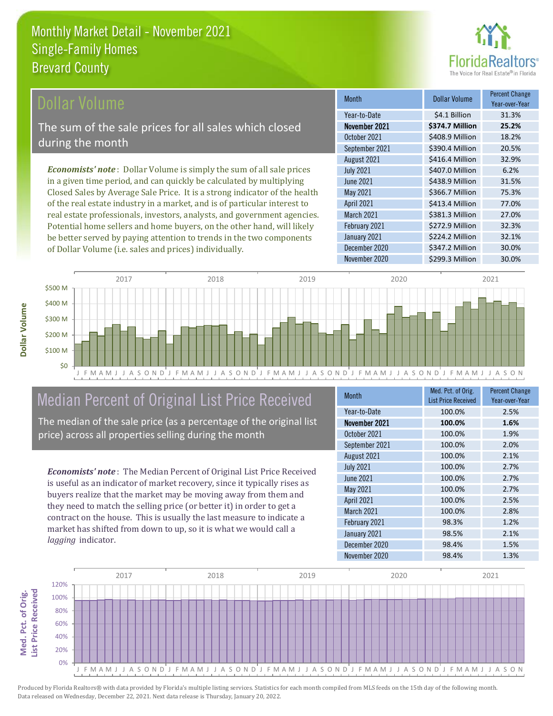

### ollar Volume

The sum of the sale prices for all sales which closed during the month

*Economists' note* : Dollar Volume is simply the sum of all sale prices in a given time period, and can quickly be calculated by multiplying Closed Sales by Average Sale Price. It is a strong indicator of the health of the real estate industry in a market, and is of particular interest to real estate professionals, investors, analysts, and government agencies. Potential home sellers and home buyers, on the other hand, will likely be better served by paying attention to trends in the two components of Dollar Volume (i.e. sales and prices) individually.

| <b>Month</b>      | Dollar Volume   | <b>Percent Change</b><br>Year-over-Year |
|-------------------|-----------------|-----------------------------------------|
| Year-to-Date      | \$4.1 Billion   | 31.3%                                   |
| November 2021     | \$374.7 Million | 25.2%                                   |
| October 2021      | \$408.9 Million | 18.2%                                   |
| September 2021    | \$390.4 Million | 20.5%                                   |
| August 2021       | \$416.4 Million | 32.9%                                   |
| <b>July 2021</b>  | \$407.0 Million | 6.2%                                    |
| <b>June 2021</b>  | \$438.9 Million | 31.5%                                   |
| May 2021          | \$366.7 Million | 75.3%                                   |
| <b>April 2021</b> | \$413.4 Million | 77.0%                                   |
| March 2021        | \$381.3 Million | 27.0%                                   |
| February 2021     | \$272.9 Million | 32.3%                                   |
| January 2021      | \$224.2 Million | 32.1%                                   |
| December 2020     | \$347.2 Million | 30.0%                                   |
| November 2020     | \$299.3 Million | 30.0%                                   |



## Median Percent of Original List Price Received

The median of the sale price (as a percentage of the original list price) across all properties selling during the month

*Economists' note* : The Median Percent of Original List Price Received is useful as an indicator of market recovery, since it typically rises as buyers realize that the market may be moving away from them and they need to match the selling price (or better it) in order to get a contract on the house. This is usually the last measure to indicate a market has shifted from down to up, so it is what we would call a *lagging* indicator.

| <b>Month</b>      | Med. Pct. of Orig.<br><b>List Price Received</b> | <b>Percent Change</b><br>Year-over-Year |
|-------------------|--------------------------------------------------|-----------------------------------------|
| Year-to-Date      | 100.0%                                           | 2.5%                                    |
| November 2021     | 100.0%                                           | 1.6%                                    |
| October 2021      | 100.0%                                           | 1.9%                                    |
| September 2021    | 100.0%                                           | 2.0%                                    |
| August 2021       | 100.0%                                           | 2.1%                                    |
| <b>July 2021</b>  | 100.0%                                           | 2.7%                                    |
| June 2021         | 100.0%                                           | 2.7%                                    |
| May 2021          | 100.0%                                           | 2.7%                                    |
| April 2021        | 100.0%                                           | 2.5%                                    |
| <b>March 2021</b> | 100.0%                                           | 2.8%                                    |
| February 2021     | 98.3%                                            | 1.2%                                    |
| January 2021      | 98.5%                                            | 2.1%                                    |
| December 2020     | 98.4%                                            | 1.5%                                    |
| November 2020     | 98.4%                                            | 1.3%                                    |

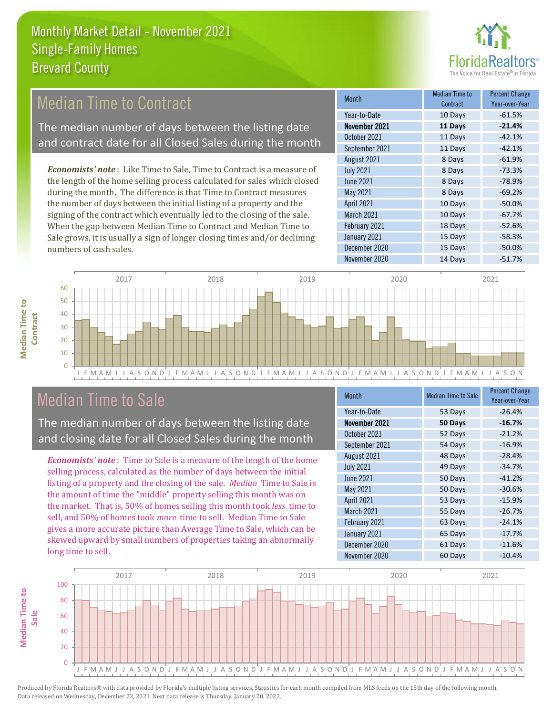

### Median Time to Contract

The median number of days between the listing date and contract date for all Closed Sales during the month

*Economists' note* : Like Time to Sale, Time to Contract is a measure of the length of the home selling process calculated for sales which closed during the month. The difference is that Time to Contract measures the number of days between the initial listing of a property and the signing of the contract which eventually led to the closing of the sale. When the gap between Median Time to Contract and Median Time to Sale grows, it is usually a sign of longer closing times and/or declining numbers of cash sales.

| <b>Month</b>      | <b>Median Time to</b><br>Contract | <b>Percent Change</b><br>Year-over-Year |
|-------------------|-----------------------------------|-----------------------------------------|
| Year-to-Date      | 10 Days                           | $-61.5%$                                |
| November 2021     | 11 Days                           | $-21.4%$                                |
| October 2021      | 11 Days                           | $-42.1%$                                |
| September 2021    | 11 Days                           | $-42.1%$                                |
| August 2021       | 8 Days                            | $-61.9%$                                |
| <b>July 2021</b>  | 8 Days                            | $-73.3%$                                |
| <b>June 2021</b>  | 8 Days                            | $-78.9%$                                |
| May 2021          | 8 Days                            | $-69.2%$                                |
| <b>April 2021</b> | 10 Days                           | $-50.0%$                                |
| <b>March 2021</b> | 10 Days                           | $-67.7%$                                |
| February 2021     | 18 Days                           | $-52.6%$                                |
| January 2021      | 15 Days                           | $-58.3%$                                |
| December 2020     | 15 Days                           | $-50.0%$                                |
| November 2020     | 14 Days                           | $-51.7%$                                |



### Median Time to Sale

**Median Time to** 

**Median Time to** 

The median number of days between the listing date and closing date for all Closed Sales during the month

*Economists' note* : Time to Sale is a measure of the length of the home selling process, calculated as the number of days between the initial listing of a property and the closing of the sale. *Median* Time to Sale is the amount of time the "middle" property selling this month was on the market. That is, 50% of homes selling this month took *less* time to sell, and 50% of homes took *more* time to sell. Median Time to Sale gives a more accurate picture than Average Time to Sale, which can be skewed upward by small numbers of properties taking an abnormally long time to sell.

| <b>Month</b>      | <b>Median Time to Sale</b> | <b>Percent Change</b><br>Year-over-Year |
|-------------------|----------------------------|-----------------------------------------|
| Year-to-Date      | 53 Days                    | $-26.4%$                                |
| November 2021     | 50 Days                    | $-16.7%$                                |
| October 2021      | 52 Days                    | $-21.2%$                                |
| September 2021    | 54 Days                    | $-16.9%$                                |
| August 2021       | 48 Days                    | $-28.4%$                                |
| <b>July 2021</b>  | 49 Days                    | $-34.7%$                                |
| <b>June 2021</b>  | 50 Days                    | $-41.2%$                                |
| May 2021          | 50 Days                    | $-30.6%$                                |
| <b>April 2021</b> | 53 Days                    | $-15.9%$                                |
| March 2021        | 55 Days                    | $-26.7%$                                |
| February 2021     | 63 Days                    | $-24.1%$                                |
| January 2021      | 65 Days                    | $-17.7%$                                |
| December 2020     | 61 Days                    | $-11.6%$                                |
| November 2020     | 60 Days                    | $-10.4%$                                |

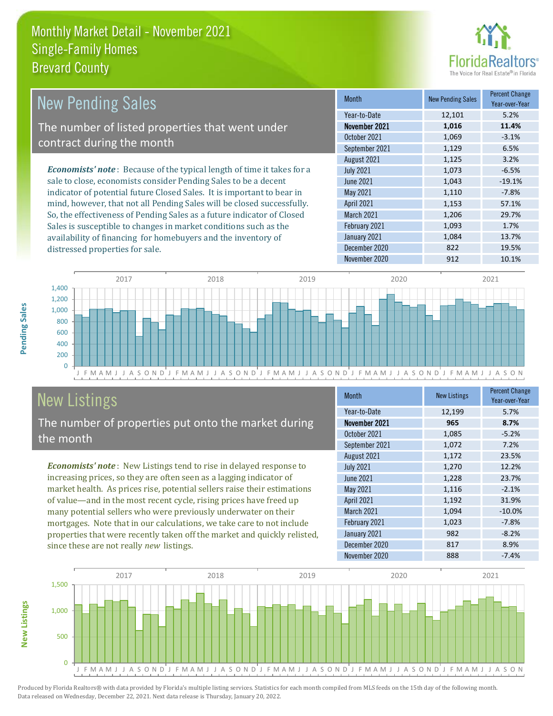

| <b>New Pending Sales</b>                                                       | <b>Month</b>     | <b>New Pending Sales</b> | <b>Percent Change</b><br>Year-over-Year |
|--------------------------------------------------------------------------------|------------------|--------------------------|-----------------------------------------|
|                                                                                | Year-to-Date     | 12,101                   | 5.2%                                    |
| The number of listed properties that went under                                | November 2021    | 1,016                    | 11.4%                                   |
| contract during the month                                                      | October 2021     | 1.069                    | $-3.1%$                                 |
|                                                                                | September 2021   | 1,129                    | 6.5%                                    |
|                                                                                | August 2021      | 1,125                    | 3.2%                                    |
| <b>Economists' note</b> : Because of the typical length of time it takes for a | <b>July 2021</b> | 1,073                    | $-6.5%$                                 |
| sale to close, economists consider Pending Sales to be a decent                | June 2021        | 1,043                    | $-19.1%$                                |
| indicator of potential future Closed Sales. It is important to bear in         | May 2021         | 1.110                    | $-7.8%$                                 |
| mind, however, that not all Pending Sales will be closed successfully.         | April 2021       | 1,153                    | 57.1%                                   |
| So, the effectiveness of Pending Sales as a future indicator of Closed         | March 2021       | 1,206                    | 29.7%                                   |
| Sales is susceptible to changes in market conditions such as the               | February 2021    | 1,093                    | 1.7%                                    |



# New Listings

distressed properties for sale.

The number of properties put onto the market during the month

availability of financing for homebuyers and the inventory of

*Economists' note* : New Listings tend to rise in delayed response to increasing prices, so they are often seen as a lagging indicator of market health. As prices rise, potential sellers raise their estimations of value—and in the most recent cycle, rising prices have freed up many potential sellers who were previously underwater on their mortgages. Note that in our calculations, we take care to not include properties that were recently taken off the market and quickly relisted, since these are not really *new* listings.

| <b>Month</b>     | <b>New Listings</b> | <b>Percent Change</b><br>Year-over-Year |
|------------------|---------------------|-----------------------------------------|
| Year-to-Date     | 12,199              | 5.7%                                    |
| November 2021    | 965                 | 8.7%                                    |
| October 2021     | 1,085               | $-5.2%$                                 |
| September 2021   | 1,072               | 7.2%                                    |
| August 2021      | 1,172               | 23.5%                                   |
| <b>July 2021</b> | 1,270               | 12.2%                                   |
| <b>June 2021</b> | 1,228               | 23.7%                                   |
| <b>May 2021</b>  | 1,116               | $-2.1%$                                 |
| April 2021       | 1,192               | 31.9%                                   |
| March 2021       | 1,094               | $-10.0%$                                |
| February 2021    | 1,023               | $-7.8%$                                 |
| January 2021     | 982                 | $-8.2%$                                 |
| December 2020    | 817                 | 8.9%                                    |
| November 2020    | 888                 | $-7.4%$                                 |

November 2020 912 912 10.1%

January 2021 1,084 13.7% December 2020 822 19.5%



**New Listings**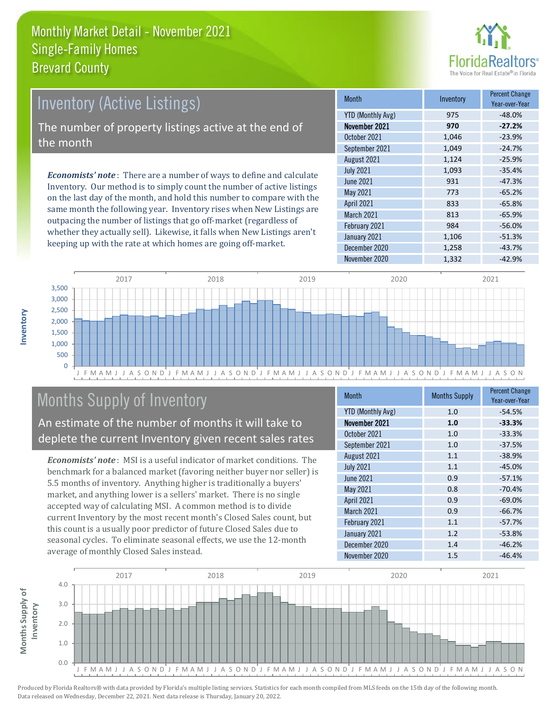

### Inventory (Active Listings) The number of property listings active at the end of the month

*Economists' note* : There are a number of ways to define and calculate Inventory. Our method is to simply count the number of active listings on the last day of the month, and hold this number to compare with the same month the following year. Inventory rises when New Listings are outpacing the number of listings that go off-market (regardless of whether they actually sell). Likewise, it falls when New Listings aren't keeping up with the rate at which homes are going off-market.

| <b>Month</b>             | Inventory | <b>Percent Change</b><br>Year-over-Year |
|--------------------------|-----------|-----------------------------------------|
| <b>YTD (Monthly Avg)</b> | 975       | $-48.0%$                                |
| November 2021            | 970       | $-27.2%$                                |
| October 2021             | 1,046     | $-23.9%$                                |
| September 2021           | 1,049     | $-24.7%$                                |
| August 2021              | 1,124     | $-25.9%$                                |
| <b>July 2021</b>         | 1,093     | $-35.4%$                                |
| <b>June 2021</b>         | 931       | $-47.3%$                                |
| May 2021                 | 773       | $-65.2%$                                |
| April 2021               | 833       | $-65.8%$                                |
| March 2021               | 813       | $-65.9%$                                |
| February 2021            | 984       | $-56.0%$                                |
| January 2021             | 1,106     | $-51.3%$                                |
| December 2020            | 1,258     | $-43.7%$                                |
| November 2020            | 1,332     | $-42.9%$                                |



### Months Supply of Inventory

An estimate of the number of months it will take to deplete the current Inventory given recent sales rates

*Economists' note* : MSI is a useful indicator of market conditions. The benchmark for a balanced market (favoring neither buyer nor seller) is 5.5 months of inventory. Anything higher is traditionally a buyers' market, and anything lower is a sellers' market. There is no single accepted way of calculating MSI. A common method is to divide current Inventory by the most recent month's Closed Sales count, but this count is a usually poor predictor of future Closed Sales due to seasonal cycles. To eliminate seasonal effects, we use the 12-month average of monthly Closed Sales instead.

| <b>Month</b>      | <b>Months Supply</b> | <b>Percent Change</b><br>Year-over-Year |
|-------------------|----------------------|-----------------------------------------|
| YTD (Monthly Avg) | 1.0                  | $-54.5%$                                |
| November 2021     | 1.0                  | $-33.3%$                                |
| October 2021      | 1.0                  | $-33.3%$                                |
| September 2021    | 1.0                  | $-37.5%$                                |
| August 2021       | 1.1                  | $-38.9%$                                |
| <b>July 2021</b>  | 1.1                  | $-45.0%$                                |
| <b>June 2021</b>  | 0.9                  | $-57.1%$                                |
| <b>May 2021</b>   | 0.8                  | $-70.4%$                                |
| April 2021        | 0.9                  | $-69.0%$                                |
| March 2021        | 0.9                  | $-66.7%$                                |
| February 2021     | 1.1                  | $-57.7%$                                |
| January 2021      | 1.2                  | $-53.8%$                                |
| December 2020     | 1.4                  | $-46.2%$                                |
| November 2020     | 1.5                  | $-46.4%$                                |

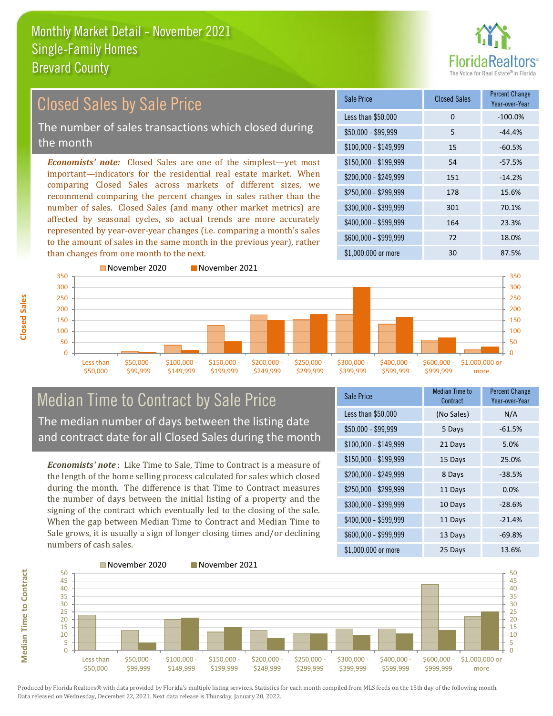

#### \$100,000 - \$149,999 15 -60.5% Sale Price Closed Sales Percent Change Year-over-Year Less than \$50,000 0 0 -100.0%  $$50,000 - $99,999$  5  $-44.4\%$ \$150,000 - \$199,999 54 -57.5% \$200,000 - \$249,999 151 -14.2% \$400,000 - \$599,999 164 23.3% \$600,000 - \$999,999 72 18.0% *Economists' note:* Closed Sales are one of the simplest—yet most important—indicators for the residential real estate market. When comparing Closed Sales across markets of different sizes, we recommend comparing the percent changes in sales rather than the number of sales. Closed Sales (and many other market metrics) are affected by seasonal cycles, so actual trends are more accurately represented by year-over-year changes (i.e. comparing a month's sales to the amount of sales in the same month in the previous year), rather than changes from one month to the next. \$1,000,000 or more 30 30 87.5% \$250,000 - \$299,999 178 15.6% \$300,000 - \$399,999 301 70.1% 350 November 2020 November 2021 300 350 Closed Sales by Sale Price The number of sales transactions which closed during the month



#### Median Time to Contract by Sale Price The median number of days between the listing date and contract date for all Closed Sales during the month

*Economists' note* : Like Time to Sale, Time to Contract is a measure of the length of the home selling process calculated for sales which closed during the month. The difference is that Time to Contract measures the number of days between the initial listing of a property and the signing of the contract which eventually led to the closing of the sale. When the gap between Median Time to Contract and Median Time to Sale grows, it is usually a sign of longer closing times and/or declining numbers of cash sales.

| Sale Price            | <b>Median Time to</b><br>Contract | <b>Percent Change</b><br>Year-over-Year |
|-----------------------|-----------------------------------|-----------------------------------------|
| Less than \$50,000    | (No Sales)                        | N/A                                     |
| $$50,000 - $99,999$   | 5 Days                            | $-61.5%$                                |
| $$100,000 - $149,999$ | 21 Days                           | 5.0%                                    |
| $$150,000 - $199,999$ | 15 Days                           | 25.0%                                   |
| \$200,000 - \$249,999 | 8 Days                            | $-38.5%$                                |
| \$250,000 - \$299,999 | 11 Days                           | 0.0%                                    |
| \$300,000 - \$399,999 | 10 Days                           | $-28.6%$                                |
| \$400,000 - \$599,999 | 11 Days                           | $-21.4%$                                |
| \$600,000 - \$999,999 | 13 Days                           | $-69.8%$                                |
| \$1,000,000 or more   | 25 Days                           | 13.6%                                   |



**Closed Sales**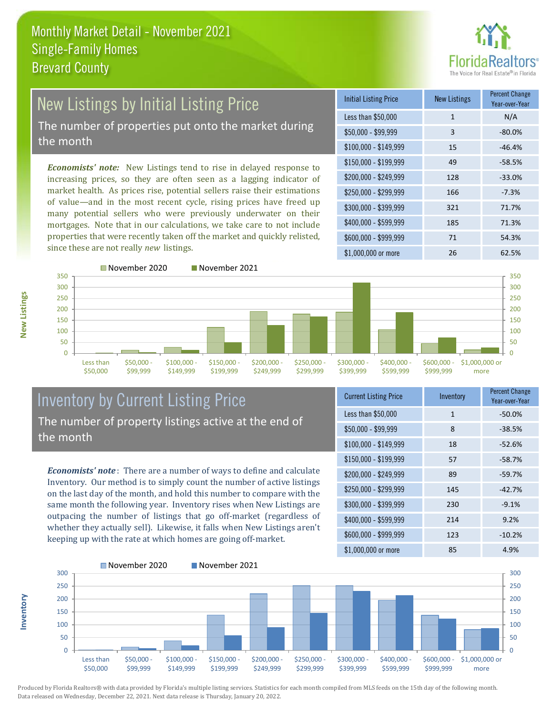

### New Listings by Initial Listing Price The number of properties put onto the market during

the month

*Economists' note:* New Listings tend to rise in delayed response to increasing prices, so they are often seen as a lagging indicator of market health. As prices rise, potential sellers raise their estimations of value—and in the most recent cycle, rising prices have freed up many potential sellers who were previously underwater on their mortgages. Note that in our calculations, we take care to not include properties that were recently taken off the market and quickly relisted, since these are not really *new* listings.

| <b>Initial Listing Price</b> | New Listings | <b>Percent Change</b><br>Year-over-Year |
|------------------------------|--------------|-----------------------------------------|
| Less than \$50,000           | $\mathbf{1}$ | N/A                                     |
| $$50,000 - $99,999$          | 3            | $-80.0%$                                |
| $$100,000 - $149,999$        | 15           | $-46.4%$                                |
| $$150,000 - $199,999$        | 49           | $-58.5%$                                |
| \$200,000 - \$249,999        | 128          | $-33.0%$                                |
| \$250,000 - \$299,999        | 166          | $-7.3%$                                 |
| \$300,000 - \$399,999        | 321          | 71.7%                                   |
| \$400,000 - \$599,999        | 185          | 71.3%                                   |
| \$600,000 - \$999,999        | 71           | 54.3%                                   |
| \$1,000,000 or more          | 26           | 62.5%                                   |



**Inventory**



#### Inventory by Current Listing Price The number of property listings active at the end of the month

*Economists' note* : There are a number of ways to define and calculate Inventory. Our method is to simply count the number of active listings on the last day of the month, and hold this number to compare with the same month the following year. Inventory rises when New Listings are outpacing the number of listings that go off-market (regardless of whether they actually sell). Likewise, it falls when New Listings aren't keeping up with the rate at which homes are going off-market.

| <b>Current Listing Price</b> | Inventory    | <b>Percent Change</b><br>Year-over-Year |
|------------------------------|--------------|-----------------------------------------|
| Less than \$50,000           | $\mathbf{1}$ | $-50.0%$                                |
| $$50,000 - $99,999$          | 8            | $-38.5%$                                |
| $$100,000 - $149,999$        | 18           | $-52.6%$                                |
| $$150,000 - $199,999$        | 57           | $-58.7%$                                |
| \$200,000 - \$249,999        | 89           | $-59.7%$                                |
| \$250,000 - \$299,999        | 145          | $-42.7%$                                |
| \$300,000 - \$399,999        | 230          | $-9.1%$                                 |
| $$400,000 - $599,999$        | 214          | 9.2%                                    |
| \$600,000 - \$999,999        | 123          | $-10.2%$                                |
| \$1,000,000 or more          | 85           | 4.9%                                    |